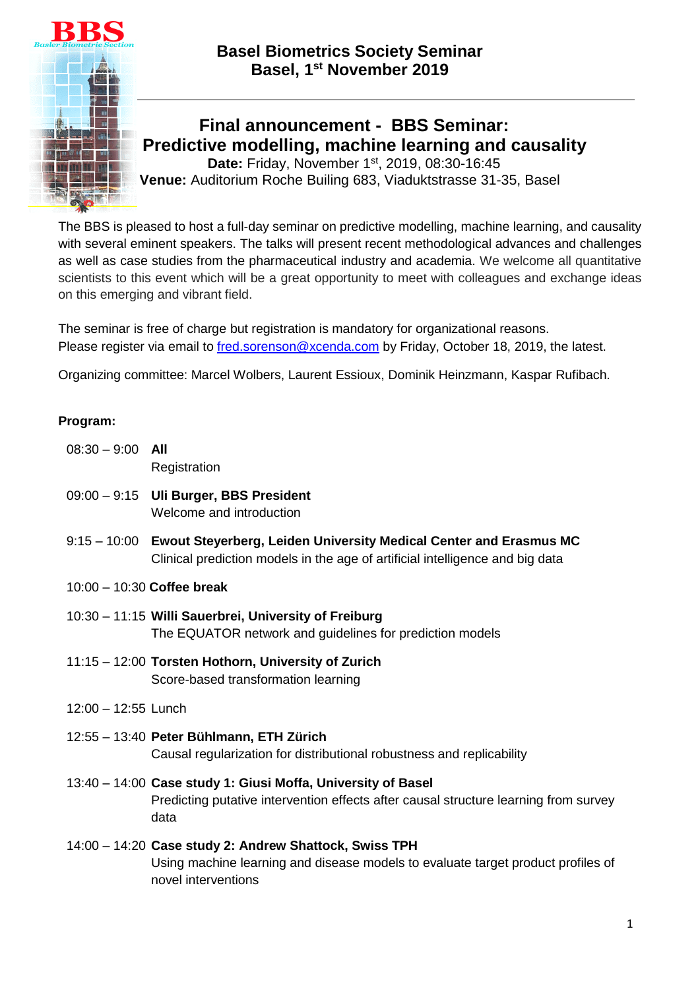

**Final announcement - BBS Seminar: Predictive modelling, machine learning and causality** Date: Friday, November 1<sup>st</sup>, 2019, 08:30-16:45

**Venue:** Auditorium Roche Builing 683, Viaduktstrasse 31-35, Basel

The BBS is pleased to host a full-day seminar on predictive modelling, machine learning, and causality with several eminent speakers. The talks will present recent methodological advances and challenges as well as case studies from the pharmaceutical industry and academia. We welcome all quantitative scientists to this event which will be a great opportunity to meet with colleagues and exchange ideas on this emerging and vibrant field.

The seminar is free of charge but registration is mandatory for organizational reasons. Please register via email to [fred.sorenson@xcenda.com](mailto:fred.sorenson@xcenda.com) by Friday, October 18, 2019, the latest.

Organizing committee: Marcel Wolbers, Laurent Essioux, Dominik Heinzmann, Kaspar Rufibach.

## **Program:**

- 08:30 9:00 **All Registration**
- 09:00 9:15 **Uli Burger, BBS President**  Welcome and introduction
- 9:15 10:00 **Ewout Steyerberg, Leiden University Medical Center and Erasmus MC**  Clinical prediction models in the age of artificial intelligence and big data
- 10:00 10:30 **Coffee break**
- 10:30 11:15 **Willi Sauerbrei, University of Freiburg** The EQUATOR network and guidelines for prediction models
- 11:15 12:00 **Torsten Hothorn, University of Zurich**  Score-based transformation learning
- 12:00 12:55 Lunch
- 12:55 13:40 **Peter Bühlmann, ETH Zürich**  Causal regularization for distributional robustness and replicability
- 13:40 14:00 **Case study 1: Giusi Moffa, University of Basel**  Predicting putative intervention effects after causal structure learning from survey data
- 14:00 14:20 **Case study 2: Andrew Shattock, Swiss TPH**  Using machine learning and disease models to evaluate target product profiles of novel interventions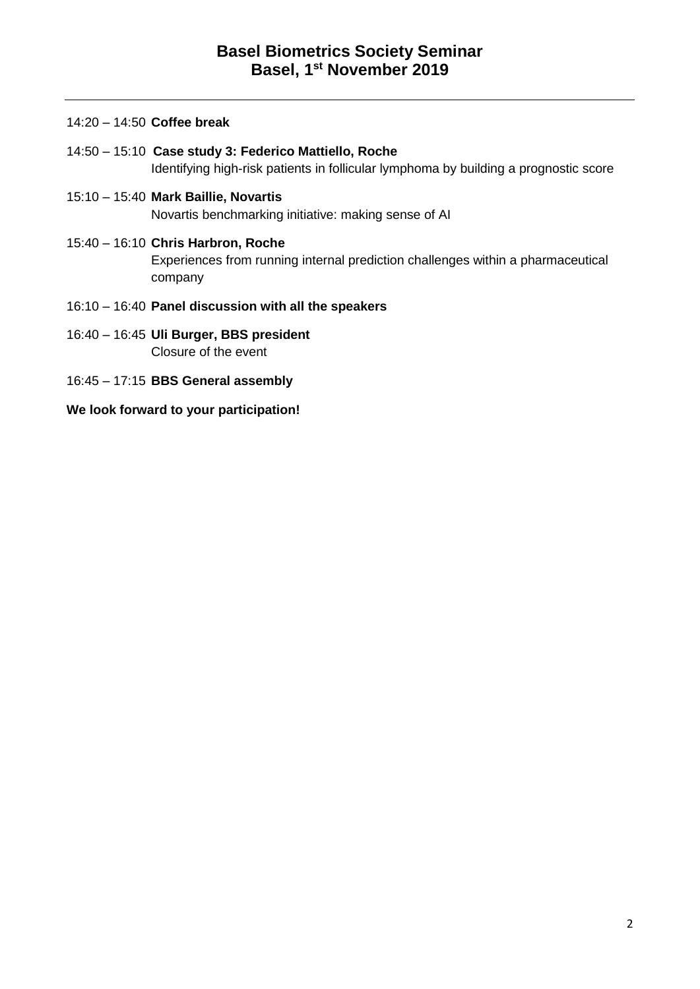|  | $14:20 - 14:50$ Coffee break |  |  |  |
|--|------------------------------|--|--|--|
|--|------------------------------|--|--|--|

- 14:50 15:10 **Case study 3: Federico Mattiello, Roche** Identifying high-risk patients in follicular lymphoma by building a prognostic score
- 15:10 15:40 **Mark Baillie, Novartis**  Novartis benchmarking initiative: making sense of AI
- 15:40 16:10 **Chris Harbron, Roche** Experiences from running internal prediction challenges within a pharmaceutical company
- 16:10 16:40 **Panel discussion with all the speakers**
- 16:40 16:45 **Uli Burger, BBS president** Closure of the event
- 16:45 17:15 **BBS General assembly**

**We look forward to your participation!**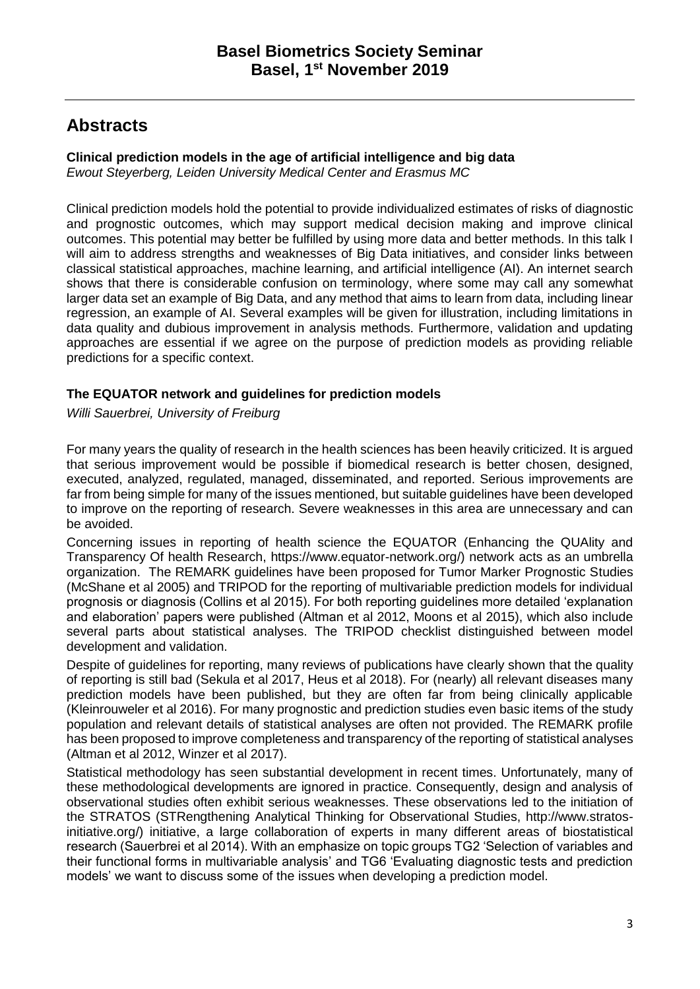# **Abstracts**

## **Clinical prediction models in the age of artificial intelligence and big data**

*Ewout Steyerberg, Leiden University Medical Center and Erasmus MC*

Clinical prediction models hold the potential to provide individualized estimates of risks of diagnostic and prognostic outcomes, which may support medical decision making and improve clinical outcomes. This potential may better be fulfilled by using more data and better methods. In this talk I will aim to address strengths and weaknesses of Big Data initiatives, and consider links between classical statistical approaches, machine learning, and artificial intelligence (AI). An internet search shows that there is considerable confusion on terminology, where some may call any somewhat larger data set an example of Big Data, and any method that aims to learn from data, including linear regression, an example of AI. Several examples will be given for illustration, including limitations in data quality and dubious improvement in analysis methods. Furthermore, validation and updating approaches are essential if we agree on the purpose of prediction models as providing reliable predictions for a specific context.

## **The EQUATOR network and guidelines for prediction models**

*Willi Sauerbrei, University of Freiburg*

For many years the quality of research in the health sciences has been heavily criticized. It is argued that serious improvement would be possible if biomedical research is better chosen, designed, executed, analyzed, regulated, managed, disseminated, and reported. Serious improvements are far from being simple for many of the issues mentioned, but suitable guidelines have been developed to improve on the reporting of research. Severe weaknesses in this area are unnecessary and can be avoided.

Concerning issues in reporting of health science the EQUATOR (Enhancing the QUAlity and Transparency Of health Research, https://www.equator-network.org/) network acts as an umbrella organization. The REMARK guidelines have been proposed for Tumor Marker Prognostic Studies (McShane et al 2005) and TRIPOD for the reporting of multivariable prediction models for individual prognosis or diagnosis (Collins et al 2015). For both reporting guidelines more detailed 'explanation and elaboration' papers were published (Altman et al 2012, Moons et al 2015), which also include several parts about statistical analyses. The TRIPOD checklist distinguished between model development and validation.

Despite of guidelines for reporting, many reviews of publications have clearly shown that the quality of reporting is still bad (Sekula et al 2017, Heus et al 2018). For (nearly) all relevant diseases many prediction models have been published, but they are often far from being clinically applicable (Kleinrouweler et al 2016). For many prognostic and prediction studies even basic items of the study population and relevant details of statistical analyses are often not provided. The REMARK profile has been proposed to improve completeness and transparency of the reporting of statistical analyses (Altman et al 2012, Winzer et al 2017).

Statistical methodology has seen substantial development in recent times. Unfortunately, many of these methodological developments are ignored in practice. Consequently, design and analysis of observational studies often exhibit serious weaknesses. These observations led to the initiation of the STRATOS (STRengthening Analytical Thinking for Observational Studies, http://www.stratosinitiative.org/) initiative, a large collaboration of experts in many different areas of biostatistical research (Sauerbrei et al 2014). With an emphasize on topic groups TG2 'Selection of variables and their functional forms in multivariable analysis' and TG6 'Evaluating diagnostic tests and prediction models' we want to discuss some of the issues when developing a prediction model.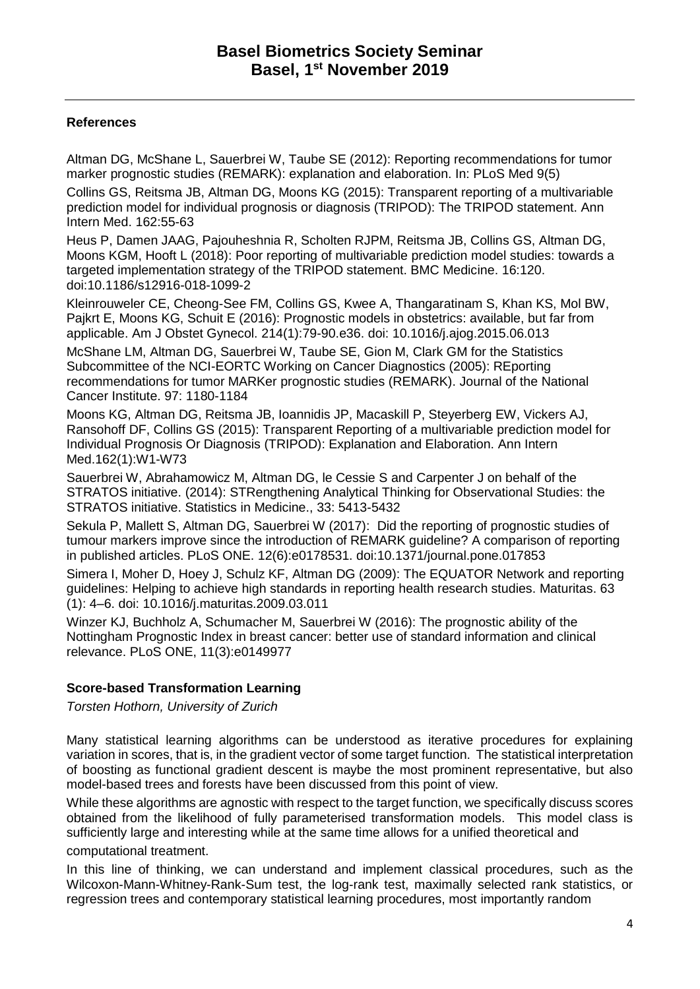## **References**

Altman DG, McShane L, Sauerbrei W, Taube SE (2012): Reporting recommendations for tumor marker prognostic studies (REMARK): explanation and elaboration. In: PLoS Med 9(5)

Collins GS, Reitsma JB, Altman DG, Moons KG (2015): Transparent reporting of a multivariable prediction model for individual prognosis or diagnosis (TRIPOD): The TRIPOD statement. Ann Intern Med. 162:55-63

Heus P, Damen JAAG, Pajouheshnia R, Scholten RJPM, Reitsma JB, Collins GS, Altman DG, Moons KGM, Hooft L (2018): Poor reporting of multivariable prediction model studies: towards a targeted implementation strategy of the TRIPOD statement. BMC Medicine. 16:120. doi:10.1186/s12916-018-1099-2

Kleinrouweler CE, Cheong-See FM, Collins GS, Kwee A, Thangaratinam S, Khan KS, Mol BW, Pajkrt E, Moons KG, Schuit E (2016): Prognostic models in obstetrics: available, but far from applicable. Am J Obstet Gynecol. 214(1):79-90.e36. doi: 10.1016/j.ajog.2015.06.013 McShane LM, Altman DG, Sauerbrei W, Taube SE, Gion M, Clark GM for the Statistics Subcommittee of the NCI-EORTC Working on Cancer Diagnostics (2005): REporting recommendations for tumor MARKer prognostic studies (REMARK). Journal of the National

Cancer Institute. 97: 1180-1184

Moons KG, Altman DG, Reitsma JB, Ioannidis JP, Macaskill P, Steyerberg EW, Vickers AJ, Ransohoff DF, Collins GS (2015): Transparent Reporting of a multivariable prediction model for Individual Prognosis Or Diagnosis (TRIPOD): Explanation and Elaboration. Ann Intern Med.162(1):W1-W73

Sauerbrei W, Abrahamowicz M, Altman DG, le Cessie S and Carpenter J on behalf of the STRATOS initiative. (2014): STRengthening Analytical Thinking for Observational Studies: the STRATOS initiative. Statistics in Medicine., 33: 5413-5432

Sekula P, Mallett S, Altman DG, Sauerbrei W (2017): Did the reporting of prognostic studies of tumour markers improve since the introduction of REMARK guideline? A comparison of reporting in published articles. PLoS ONE. 12(6):e0178531. doi:10.1371/journal.pone.017853

Simera I, Moher D, Hoey J, Schulz KF, Altman DG (2009): The EQUATOR Network and reporting guidelines: Helping to achieve high standards in reporting health research studies. Maturitas. 63 (1): 4–6. doi: 10.1016/j.maturitas.2009.03.011

Winzer KJ, Buchholz A, Schumacher M, Sauerbrei W (2016): The prognostic ability of the Nottingham Prognostic Index in breast cancer: better use of standard information and clinical relevance. PLoS ONE, 11(3):e0149977

## **Score-based Transformation Learning**

*Torsten Hothorn, University of Zurich* 

Many statistical learning algorithms can be understood as iterative procedures for explaining variation in scores, that is, in the gradient vector of some target function. The statistical interpretation of boosting as functional gradient descent is maybe the most prominent representative, but also model-based trees and forests have been discussed from this point of view.

While these algorithms are agnostic with respect to the target function, we specifically discuss scores obtained from the likelihood of fully parameterised transformation models. This model class is sufficiently large and interesting while at the same time allows for a unified theoretical and

computational treatment.

In this line of thinking, we can understand and implement classical procedures, such as the Wilcoxon-Mann-Whitney-Rank-Sum test, the log-rank test, maximally selected rank statistics, or regression trees and contemporary statistical learning procedures, most importantly random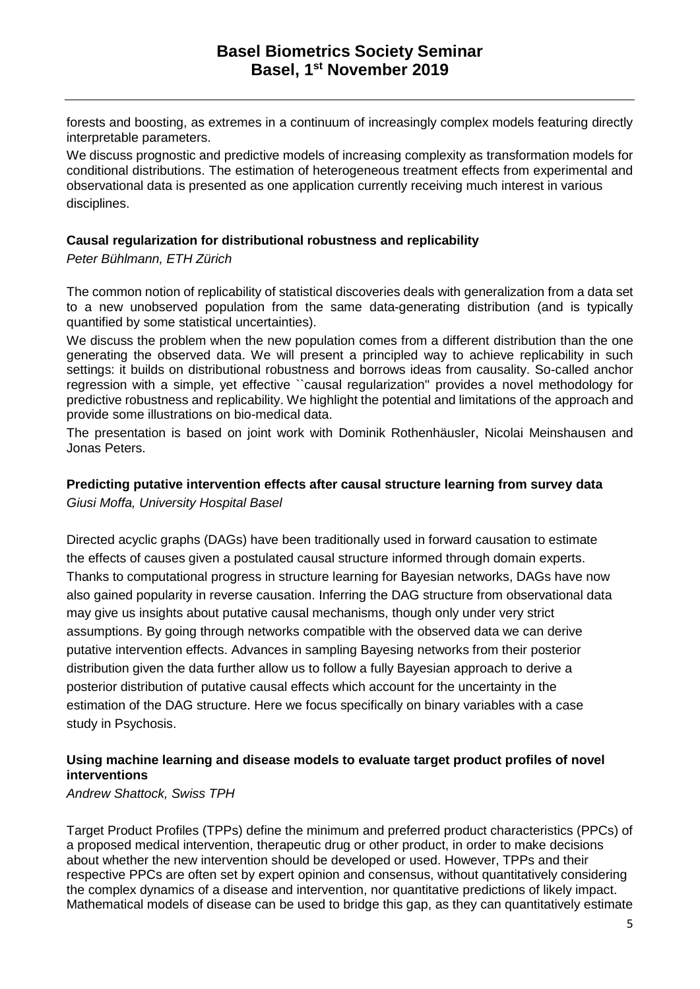forests and boosting, as extremes in a continuum of increasingly complex models featuring directly interpretable parameters.

We discuss prognostic and predictive models of increasing complexity as transformation models for conditional distributions. The estimation of heterogeneous treatment effects from experimental and observational data is presented as one application currently receiving much interest in various disciplines.

#### **Causal regularization for distributional robustness and replicability**

*Peter Bühlmann, ETH Zürich* 

The common notion of replicability of statistical discoveries deals with generalization from a data set to a new unobserved population from the same data-generating distribution (and is typically quantified by some statistical uncertainties).

We discuss the problem when the new population comes from a different distribution than the one generating the observed data. We will present a principled way to achieve replicability in such settings: it builds on distributional robustness and borrows ideas from causality. So-called anchor regression with a simple, yet effective ``causal regularization'' provides a novel methodology for predictive robustness and replicability. We highlight the potential and limitations of the approach and provide some illustrations on bio-medical data.

The presentation is based on joint work with Dominik Rothenhäusler, Nicolai Meinshausen and Jonas Peters.

#### **Predicting putative intervention effects after causal structure learning from survey data** *Giusi Moffa, University Hospital Basel*

Directed acyclic graphs (DAGs) have been traditionally used in forward causation to estimate the effects of causes given a postulated causal structure informed through domain experts. Thanks to computational progress in structure learning for Bayesian networks, DAGs have now also gained popularity in reverse causation. Inferring the DAG structure from observational data may give us insights about putative causal mechanisms, though only under very strict assumptions. By going through networks compatible with the observed data we can derive putative intervention effects. Advances in sampling Bayesing networks from their posterior distribution given the data further allow us to follow a fully Bayesian approach to derive a posterior distribution of putative causal effects which account for the uncertainty in the estimation of the DAG structure. Here we focus specifically on binary variables with a case study in Psychosis.

#### **Using machine learning and disease models to evaluate target product profiles of novel interventions**

*Andrew Shattock, Swiss TPH* 

Target Product Profiles (TPPs) define the minimum and preferred product characteristics (PPCs) of a proposed medical intervention, therapeutic drug or other product, in order to make decisions about whether the new intervention should be developed or used. However, TPPs and their respective PPCs are often set by expert opinion and consensus, without quantitatively considering the complex dynamics of a disease and intervention, nor quantitative predictions of likely impact. Mathematical models of disease can be used to bridge this gap, as they can quantitatively estimate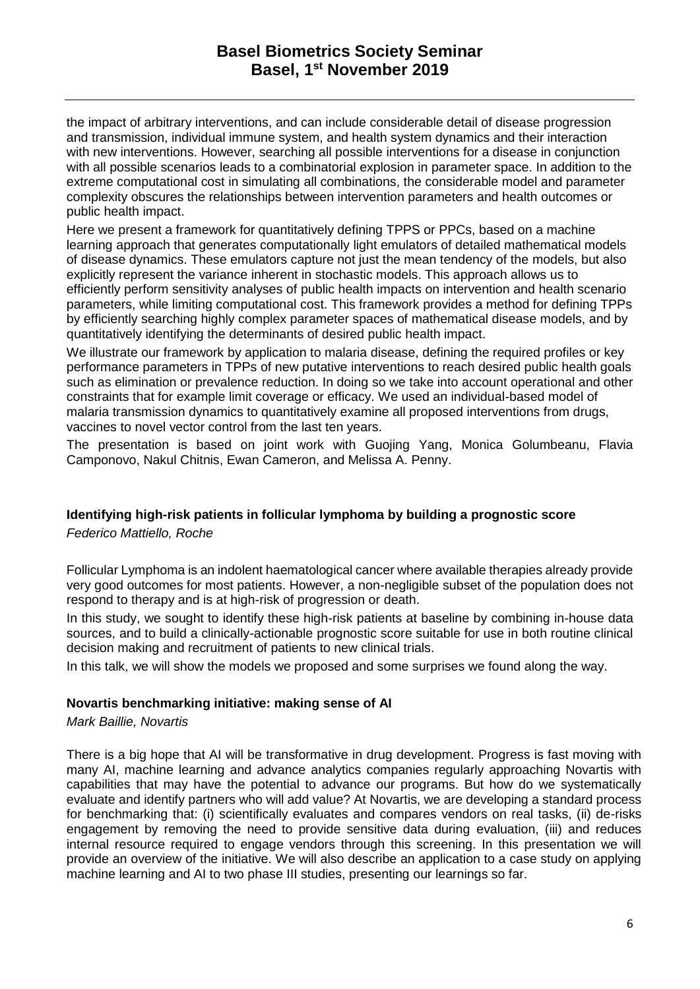## **Basel Biometrics Society Seminar Basel, 1 st November 2019**

the impact of arbitrary interventions, and can include considerable detail of disease progression and transmission, individual immune system, and health system dynamics and their interaction with new interventions. However, searching all possible interventions for a disease in conjunction with all possible scenarios leads to a combinatorial explosion in parameter space. In addition to the extreme computational cost in simulating all combinations, the considerable model and parameter complexity obscures the relationships between intervention parameters and health outcomes or public health impact.

Here we present a framework for quantitatively defining TPPS or PPCs, based on a machine learning approach that generates computationally light emulators of detailed mathematical models of disease dynamics. These emulators capture not just the mean tendency of the models, but also explicitly represent the variance inherent in stochastic models. This approach allows us to efficiently perform sensitivity analyses of public health impacts on intervention and health scenario parameters, while limiting computational cost. This framework provides a method for defining TPPs by efficiently searching highly complex parameter spaces of mathematical disease models, and by quantitatively identifying the determinants of desired public health impact.

We illustrate our framework by application to malaria disease, defining the required profiles or key performance parameters in TPPs of new putative interventions to reach desired public health goals such as elimination or prevalence reduction. In doing so we take into account operational and other constraints that for example limit coverage or efficacy. We used an individual-based model of malaria transmission dynamics to quantitatively examine all proposed interventions from drugs, vaccines to novel vector control from the last ten years.

The presentation is based on joint work with Guojing Yang, Monica Golumbeanu, Flavia Camponovo, Nakul Chitnis, Ewan Cameron, and Melissa A. Penny.

#### **Identifying high-risk patients in follicular lymphoma by building a prognostic score**

*Federico Mattiello, Roche* 

Follicular Lymphoma is an indolent haematological cancer where available therapies already provide very good outcomes for most patients. However, a non-negligible subset of the population does not respond to therapy and is at high-risk of progression or death.

In this study, we sought to identify these high-risk patients at baseline by combining in-house data sources, and to build a clinically-actionable prognostic score suitable for use in both routine clinical decision making and recruitment of patients to new clinical trials.

In this talk, we will show the models we proposed and some surprises we found along the way.

#### **Novartis benchmarking initiative: making sense of AI**

*Mark Baillie, Novartis* 

There is a big hope that AI will be transformative in drug development. Progress is fast moving with many AI, machine learning and advance analytics companies regularly approaching Novartis with capabilities that may have the potential to advance our programs. But how do we systematically evaluate and identify partners who will add value? At Novartis, we are developing a standard process for benchmarking that: (i) scientifically evaluates and compares vendors on real tasks, (ii) de-risks engagement by removing the need to provide sensitive data during evaluation, (iii) and reduces internal resource required to engage vendors through this screening. In this presentation we will provide an overview of the initiative. We will also describe an application to a case study on applying machine learning and AI to two phase III studies, presenting our learnings so far.